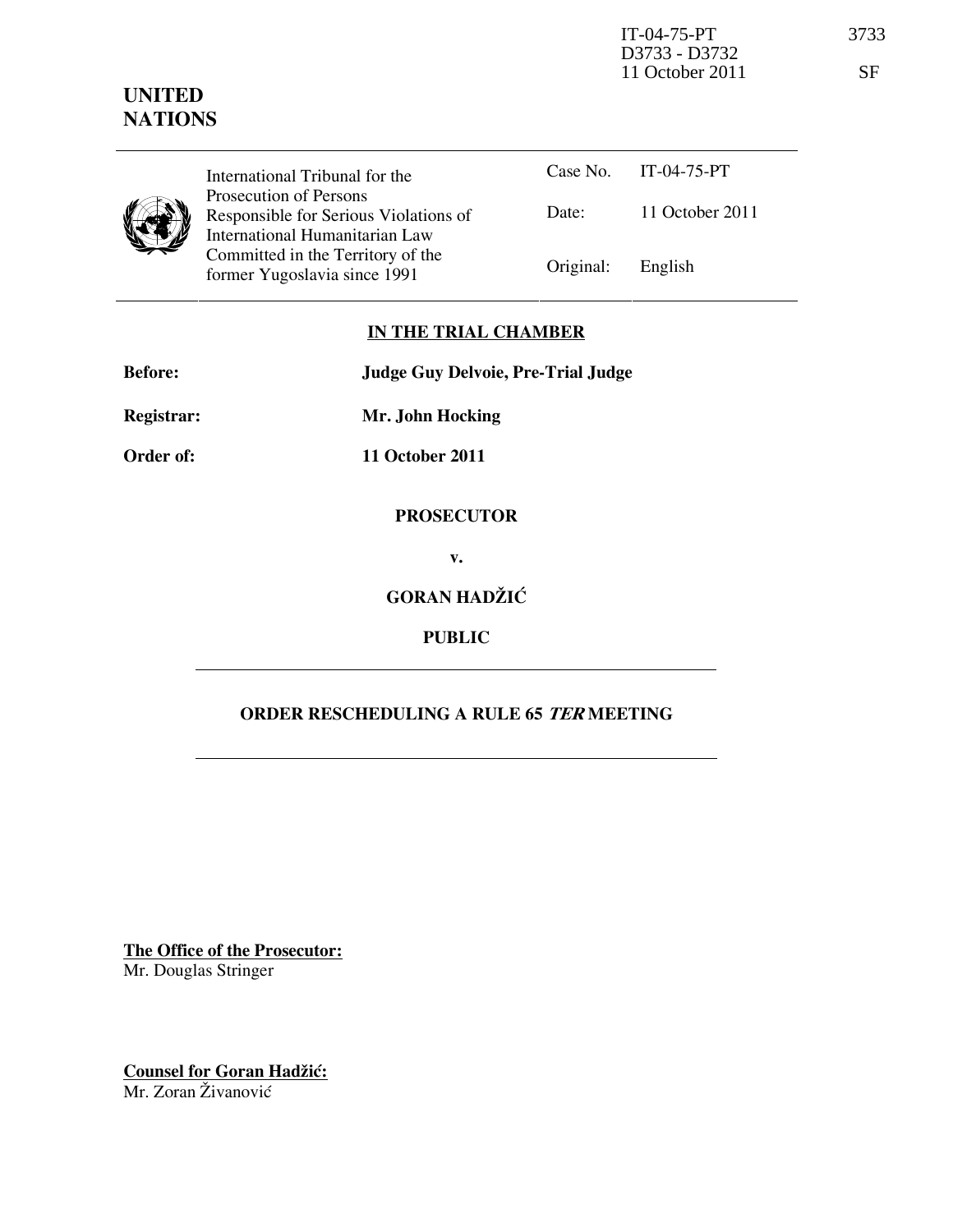## UNITED **NATIONS**

| International Tribunal for the<br>Prosecution of Persons<br>Responsible for Serious Viola<br>International Humanitarian La<br>Committed in the Territory of |
|-------------------------------------------------------------------------------------------------------------------------------------------------------------|
| former Yugoslavia since 1991                                                                                                                                |

| International Tribunal for the                                    |                   | Case No. IT-04-75-PT |
|-------------------------------------------------------------------|-------------------|----------------------|
| Prosecution of Persons<br>Responsible for Serious Violations of   | Date:             | 11 October 2011      |
| International Humanitarian Law                                    |                   |                      |
| Committed in the Territory of the<br>former Yugoslavia since 1991 | Original: English |                      |

### IN THE TRIAL CHAMBER

Before: Judge Guy Delvoie, Pre-Trial Judge

Registrar: Mr. John Hocking

Order of: 11 October 2011

#### PROSECUTOR

v.

# GORAN HADŽIĆ

### PUBLIC

### ORDER RESCHEDULING A RULE 65 TER MEETING

The Office of the Prosecutor: Mr. Douglas Stringer

Counsel for Goran Hadžić: Mr. Zoran Živanović